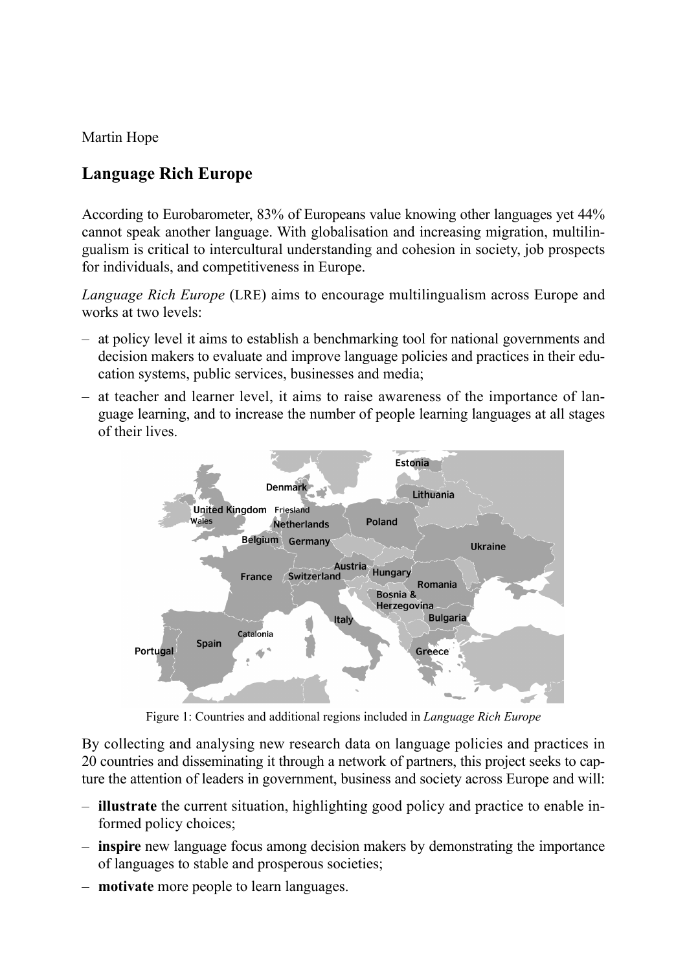Martin Hope

## **Language Rich Europe**

According to Eurobarometer, 83% of Europeans value knowing other languages yet 44% cannot speak another language. With globalisation and increasing migration, multilingualism is critical to intercultural understanding and cohesion in society, job prospects for individuals, and competitiveness in Europe.

*Language Rich Europe* (LRE) aims to encourage multilingualism across Europe and works at two levels:

- at policy level it aims to establish a benchmarking tool for national governments and decision makers to evaluate and improve language policies and practices in their education systems, public services, businesses and media;
- at teacher and learner level, it aims to raise awareness of the importance of language learning, and to increase the number of people learning languages at all stages of their lives.



Figure 1: Countries and additional regions included in *Language Rich Europe*

By collecting and analysing new research data on language policies and practices in 20 countries and disseminating it through a network of partners, this project seeks to capture the attention of leaders in government, business and society across Europe and will:

- **illustrate** the current situation, highlighting good policy and practice to enable informed policy choices;
- **inspire** new language focus among decision makers by demonstrating the importance of languages to stable and prosperous societies;
- **motivate** more people to learn languages. –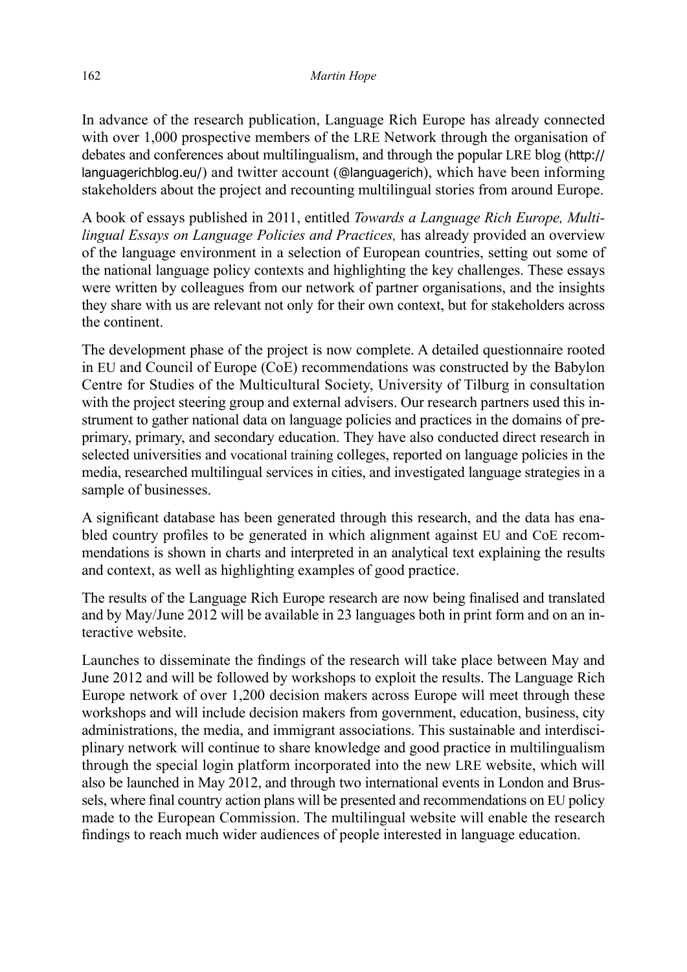In advance of the research publication, Language Rich Europe has already connected with over 1,000 prospective members of the LRE Network through the organisation of debates and conferences about multilingualism, and through the popular LRE blog (http:// languagerichblog.eu/) and twitter account (@languagerich), which have been informing stakeholders about the project and recounting multilingual stories from around Europe.

A book of essays published in 2011, entitled *Towards a Language Rich Europe, Multilingual Essays on Language Policies and Practices,* has already provided an overview of the language environment in a selection of European countries, setting out some of the national language policy contexts and highlighting the key challenges. These essays were written by colleagues from our network of partner organisations, and the insights they share with us are relevant not only for their own context, but for stakeholders across the continent.

The development phase of the project is now complete. A detailed questionnaire rooted in EU and Council of Europe (CoE) recommendations was constructed by the Babylon Centre for Studies of the Multicultural Society, University of Tilburg in consultation with the project steering group and external advisers. Our research partners used this instrument to gather national data on language policies and practices in the domains of preprimary, primary, and secondary education. They have also conducted direct research in selected universities and vocational training colleges, reported on language policies in the media, researched multilingual services in cities, and investigated language strategies in a sample of businesses.

A significant database has been generated through this research, and the data has enabled country profiles to be generated in which alignment against EU and CoE recommendations is shown in charts and interpreted in an analytical text explaining the results and context, as well as highlighting examples of good practice.

The results of the Language Rich Europe research are now being finalised and translated and by May/June 2012 will be available in 23 languages both in print form and on an interactive website.

Launches to disseminate the findings of the research will take place between May and June 2012 and will be followed by workshops to exploit the results. The Language Rich Europe network of over 1,200 decision makers across Europe will meet through these workshops and will include decision makers from government, education, business, city administrations, the media, and immigrant associations. This sustainable and interdisciplinary network will continue to share knowledge and good practice in multilingualism through the special login platform incorporated into the new LRE website, which will also be launched in May 2012, and through two international events in London and Brussels, where final country action plans will be presented and recommendations on EU policy made to the European Commission. The multilingual website will enable the research ndings to reach much wider audiences of people interested in language education.